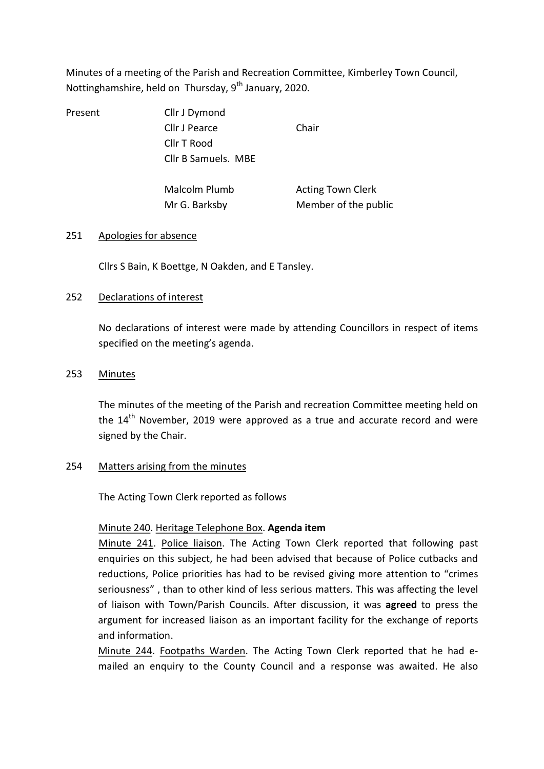Minutes of a meeting of the Parish and Recreation Committee, Kimberley Town Council, Nottinghamshire, held on Thursday,  $9<sup>th</sup>$  January, 2020.

Present Cllr J Dymond Cllr J Pearce Chair Cllr T Rood Cllr B Samuels. MBE

Malcolm Plumb **Acting Town Clerk** 

Mr G. Barksby Member of the public

## 251 Apologies for absence

Cllrs S Bain, K Boettge, N Oakden, and E Tansley.

## 252 Declarations of interest

No declarations of interest were made by attending Councillors in respect of items specified on the meeting's agenda.

## 253 Minutes

The minutes of the meeting of the Parish and recreation Committee meeting held on the 14<sup>th</sup> November, 2019 were approved as a true and accurate record and were signed by the Chair.

## 254 Matters arising from the minutes

The Acting Town Clerk reported as follows

# Minute 240. Heritage Telephone Box. Agenda item

 Minute 241. Police liaison. The Acting Town Clerk reported that following past enquiries on this subject, he had been advised that because of Police cutbacks and reductions, Police priorities has had to be revised giving more attention to "crimes seriousness" , than to other kind of less serious matters. This was affecting the level of liaison with Town/Parish Councils. After discussion, it was agreed to press the argument for increased liaison as an important facility for the exchange of reports and information.

Minute 244. Footpaths Warden. The Acting Town Clerk reported that he had emailed an enquiry to the County Council and a response was awaited. He also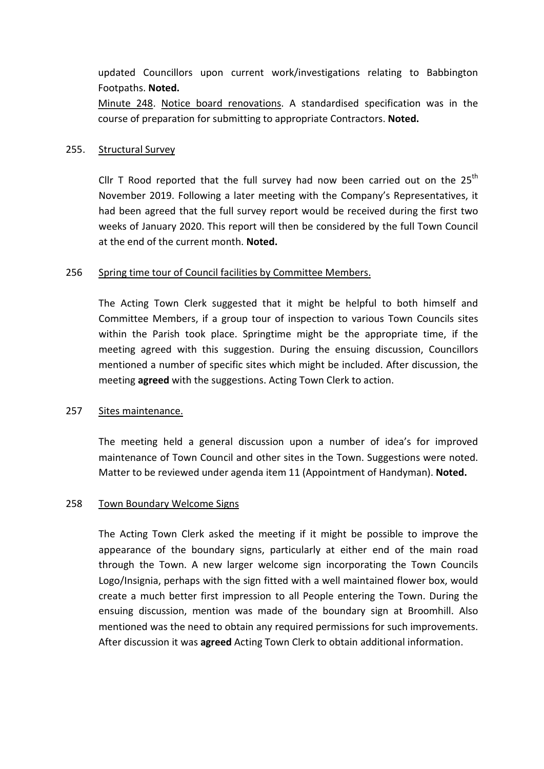updated Councillors upon current work/investigations relating to Babbington Footpaths. Noted.

Minute 248. Notice board renovations. A standardised specification was in the course of preparation for submitting to appropriate Contractors. Noted.

### 255. Structural Survey

Cllr T Rood reported that the full survey had now been carried out on the  $25<sup>th</sup>$ November 2019. Following a later meeting with the Company's Representatives, it had been agreed that the full survey report would be received during the first two weeks of January 2020. This report will then be considered by the full Town Council at the end of the current month. Noted.

### 256 Spring time tour of Council facilities by Committee Members.

The Acting Town Clerk suggested that it might be helpful to both himself and Committee Members, if a group tour of inspection to various Town Councils sites within the Parish took place. Springtime might be the appropriate time, if the meeting agreed with this suggestion. During the ensuing discussion, Councillors mentioned a number of specific sites which might be included. After discussion, the meeting **agreed** with the suggestions. Acting Town Clerk to action.

#### 257 Sites maintenance.

The meeting held a general discussion upon a number of idea's for improved maintenance of Town Council and other sites in the Town. Suggestions were noted. Matter to be reviewed under agenda item 11 (Appointment of Handyman). Noted.

#### 258 Town Boundary Welcome Signs

The Acting Town Clerk asked the meeting if it might be possible to improve the appearance of the boundary signs, particularly at either end of the main road through the Town. A new larger welcome sign incorporating the Town Councils Logo/Insignia, perhaps with the sign fitted with a well maintained flower box, would create a much better first impression to all People entering the Town. During the ensuing discussion, mention was made of the boundary sign at Broomhill. Also mentioned was the need to obtain any required permissions for such improvements. After discussion it was agreed Acting Town Clerk to obtain additional information.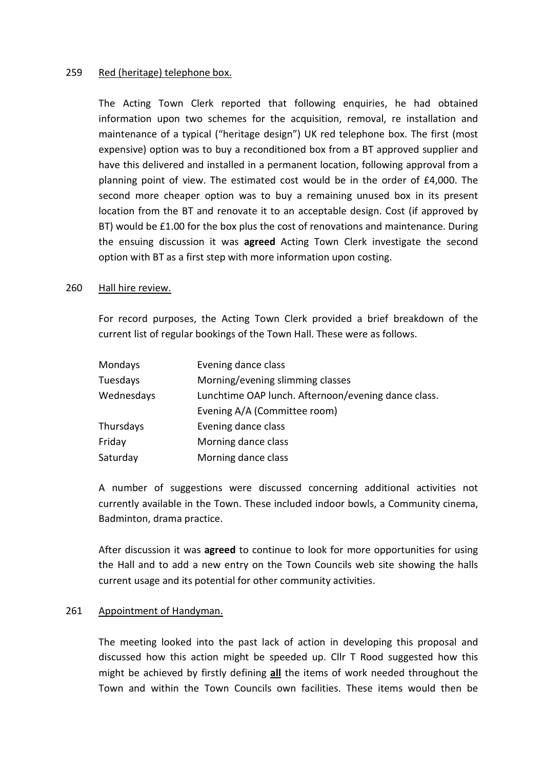### 259 Red (heritage) telephone box.

The Acting Town Clerk reported that following enquiries, he had obtained information upon two schemes for the acquisition, removal, re installation and maintenance of a typical ("heritage design") UK red telephone box. The first (most expensive) option was to buy a reconditioned box from a BT approved supplier and have this delivered and installed in a permanent location, following approval from a planning point of view. The estimated cost would be in the order of £4,000. The second more cheaper option was to buy a remaining unused box in its present location from the BT and renovate it to an acceptable design. Cost (if approved by BT) would be £1.00 for the box plus the cost of renovations and maintenance. During the ensuing discussion it was agreed Acting Town Clerk investigate the second option with BT as a first step with more information upon costing.

### 260 Hall hire review.

For record purposes, the Acting Town Clerk provided a brief breakdown of the current list of regular bookings of the Town Hall. These were as follows.

| Mondays    | Evening dance class                                 |
|------------|-----------------------------------------------------|
| Tuesdays   | Morning/evening slimming classes                    |
| Wednesdays | Lunchtime OAP lunch. Afternoon/evening dance class. |
|            | Evening A/A (Committee room)                        |
| Thursdays  | Evening dance class                                 |
| Friday     | Morning dance class                                 |
| Saturday   | Morning dance class                                 |

A number of suggestions were discussed concerning additional activities not currently available in the Town. These included indoor bowls, a Community cinema, Badminton, drama practice.

After discussion it was agreed to continue to look for more opportunities for using the Hall and to add a new entry on the Town Councils web site showing the halls current usage and its potential for other community activities.

### 261 Appointment of Handyman.

The meeting looked into the past lack of action in developing this proposal and discussed how this action might be speeded up. Cllr T Rood suggested how this might be achieved by firstly defining  $all$  the items of work needed throughout the Town and within the Town Councils own facilities. These items would then be